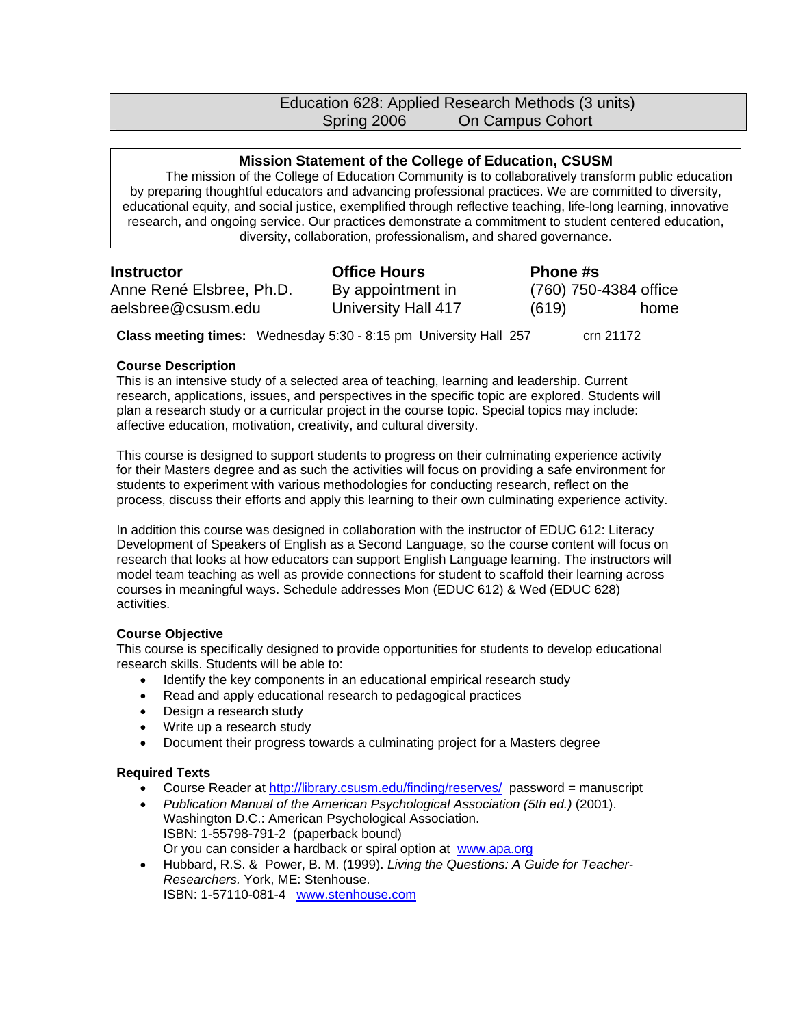# Education 628: Applied Research Methods (3 units) Spring 2006 On Campus Cohort

## **Mission Statement of the College of Education, CSUSM**

The mission of the College of Education Community is to collaboratively transform public education by preparing thoughtful educators and advancing professional practices. We are committed to diversity, educational equity, and social justice, exemplified through reflective teaching, life-long learning, innovative research, and ongoing service. Our practices demonstrate a commitment to student centered education, diversity, collaboration, professionalism, and shared governance.

Anne René Elsbree, Ph.D. aelsbree@csusm.edu

**Instructor Coffice Hours Phone #s** By appointment in University Hall 417

(760) 750-4384 office (619) home

**Class meeting times:** Wednesday 5:30 - 8:15 pm University Hall 257 crn 21172

### **Course Description**

This is an intensive study of a selected area of teaching, learning and leadership. Current research, applications, issues, and perspectives in the specific topic are explored. Students will plan a research study or a curricular project in the course topic. Special topics may include: affective education, motivation, creativity, and cultural diversity.

This course is designed to support students to progress on their culminating experience activity for their Masters degree and as such the activities will focus on providing a safe environment for students to experiment with various methodologies for conducting research, reflect on the process, discuss their efforts and apply this learning to their own culminating experience activity.

In addition this course was designed in collaboration with the instructor of EDUC 612: Literacy Development of Speakers of English as a Second Language, so the course content will focus on research that looks at how educators can support English Language learning. The instructors will model team teaching as well as provide connections for student to scaffold their learning across courses in meaningful ways. Schedule addresses Mon (EDUC 612) & Wed (EDUC 628) activities.

## **Course Objective**

This course is specifically designed to provide opportunities for students to develop educational research skills. Students will be able to:

- Identify the key components in an educational empirical research study
- Read and apply educational research to pedagogical practices
- Design a research study
- Write up a research study
- Document their progress towards a culminating project for a Masters degree

#### **Required Texts**

- Course Reader at http://library.csusm.edu/finding/reserves/ password = manuscript
- *Publication Manual of the American Psychological Association (5th ed.)* (2001). Washington D.C.: American Psychological Association. ISBN: 1-55798-791-2 (paperback bound) Or you can consider a hardback or spiral option at www.apa.org
- Hubbard, R.S. & Power, B. M. (1999). *Living the Questions: A Guide for Teacher-Researchers.* York, ME: Stenhouse. ISBN: 1-57110-081-4 www.stenhouse.com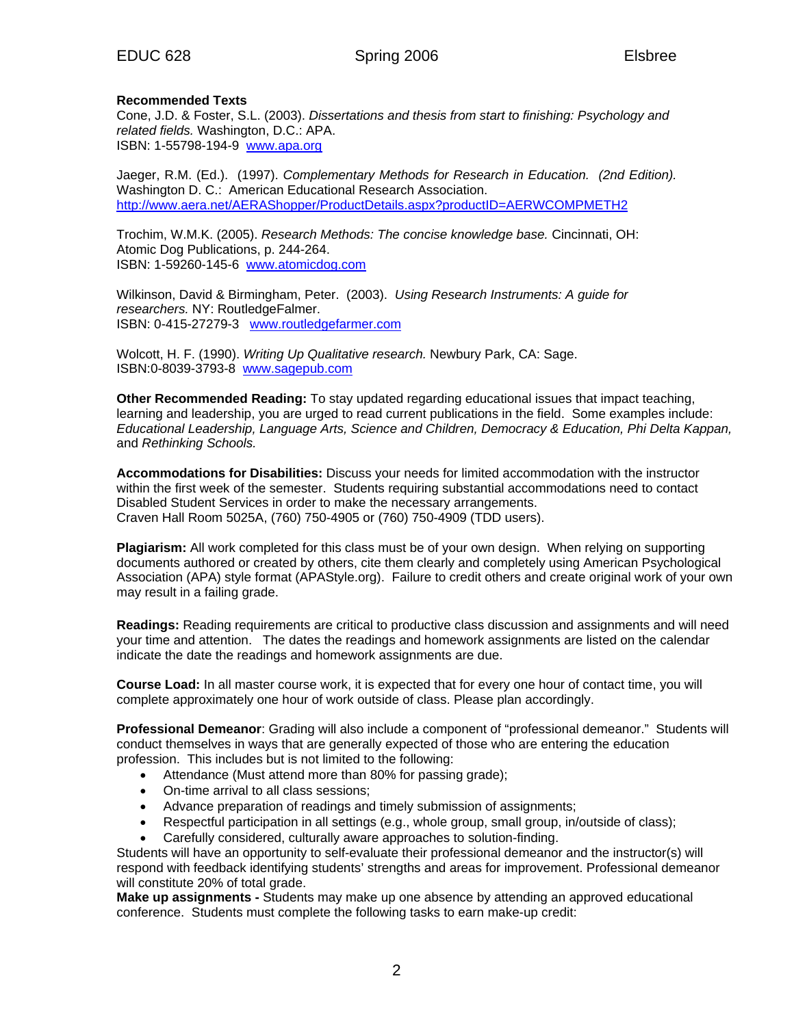### **Recommended Texts**

Cone, J.D. & Foster, S.L. (2003). *Dissertations and thesis from start to finishing: Psychology and related fields.* Washington, D.C.: APA. ISBN: 1-55798-194-9 www.apa.org

Jaeger, R.M. (Ed.). (1997). *Complementary Methods for Research in Education. (2nd Edition).*  Washington D. C.: American Educational Research Association. http://www.aera.net/AERAShopper/ProductDetails.aspx?productID=AERWCOMPMETH2

Trochim, W.M.K. (2005). *Research Methods: The concise knowledge base.* Cincinnati, OH: Atomic Dog Publications, p. 244-264. ISBN: 1-59260-145-6 www.atomicdog.com

Wilkinson, David & Birmingham, Peter. (2003). *Using Research Instruments: A guide for researchers.* NY: RoutledgeFalmer. ISBN: 0-415-27279-3 www.routledgefarmer.com

Wolcott, H. F. (1990). *Writing Up Qualitative research.* Newbury Park, CA: Sage. ISBN:0-8039-3793-8 www.sagepub.com

**Other Recommended Reading:** To stay updated regarding educational issues that impact teaching, learning and leadership, you are urged to read current publications in the field. Some examples include: *Educational Leadership, Language Arts, Science and Children, Democracy & Education, Phi Delta Kappan,*  and *Rethinking Schools.* 

**Accommodations for Disabilities:** Discuss your needs for limited accommodation with the instructor within the first week of the semester. Students requiring substantial accommodations need to contact Disabled Student Services in order to make the necessary arrangements. Craven Hall Room 5025A, (760) 750-4905 or (760) 750-4909 (TDD users).

**Plagiarism:** All work completed for this class must be of your own design. When relying on supporting documents authored or created by others, cite them clearly and completely using American Psychological Association (APA) style format (APAStyle.org). Failure to credit others and create original work of your own may result in a failing grade.

**Readings:** Reading requirements are critical to productive class discussion and assignments and will need your time and attention. The dates the readings and homework assignments are listed on the calendar indicate the date the readings and homework assignments are due.

**Course Load:** In all master course work, it is expected that for every one hour of contact time, you will complete approximately one hour of work outside of class. Please plan accordingly.

**Professional Demeanor**: Grading will also include a component of "professional demeanor." Students will conduct themselves in ways that are generally expected of those who are entering the education profession. This includes but is not limited to the following:

- Attendance (Must attend more than 80% for passing grade);
- On-time arrival to all class sessions;
- Advance preparation of readings and timely submission of assignments;
- Respectful participation in all settings (e.g., whole group, small group, in/outside of class);
- Carefully considered, culturally aware approaches to solution-finding.

Students will have an opportunity to self-evaluate their professional demeanor and the instructor(s) will respond with feedback identifying students' strengths and areas for improvement. Professional demeanor will constitute 20% of total grade.

**Make up assignments -** Students may make up one absence by attending an approved educational conference. Students must complete the following tasks to earn make-up credit: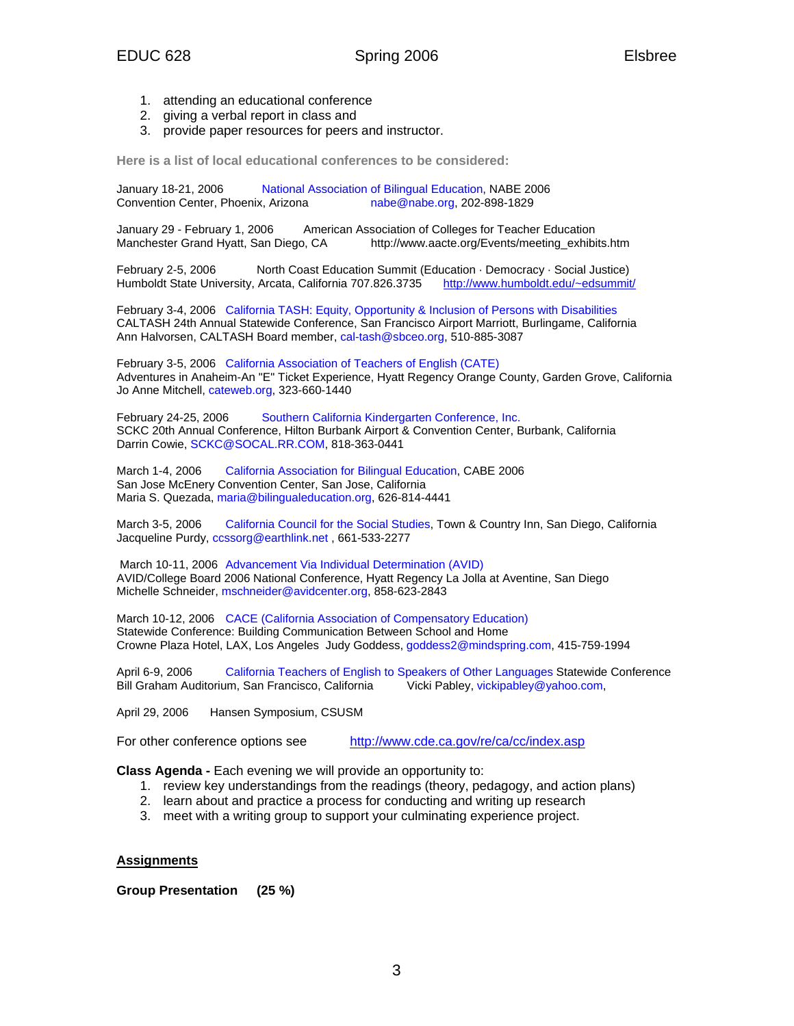- 1. attending an educational conference
- 2. giving a verbal report in class and
- 3. provide paper resources for peers and instructor.

**Here is a list of local educational conferences to be considered:** 

January 18-21, 2006 National Association of Bilingual Education, NABE 2006<br>Convention Center, Phoenix, Arizona nabe@nabe.org, 202-898-1829  $nabe@nabe.org, 202-898-1829$ 

January 29 - February 1, 2006 American Association of Colleges for Teacher Education Manchester Grand Hyatt, San Diego, CA http://www.aacte.org/Events/meeting\_exhibits.htm

February 2-5, 2006 North Coast Education Summit (Education · Democracy · Social Justice) Humboldt State University, Arcata, California 707.826.3735 http://www.humboldt.edu/~edsummit/

February 3-4, 2006 California TASH: Equity, Opportunity & Inclusion of Persons with Disabilities CALTASH 24th Annual Statewide Conference, San Francisco Airport Marriott, Burlingame, California Ann Halvorsen, CALTASH Board member, cal-tash@sbceo.org, 510-885-3087

February 3-5, 2006 California Association of Teachers of English (CATE) Adventures in Anaheim-An "E" Ticket Experience, Hyatt Regency Orange County, Garden Grove, California Jo Anne Mitchell, cateweb.org, 323-660-1440

February 24-25, 2006 Southern California Kindergarten Conference, Inc. SCKC 20th Annual Conference, Hilton Burbank Airport & Convention Center, Burbank, California Darrin Cowie, SCKC@SOCAL.RR.COM, 818-363-0441

March 1-4, 2006 California Association for Bilingual Education, CABE 2006 San Jose McEnery Convention Center, San Jose, California Maria S. Quezada, maria@bilingualeducation.org, 626-814-4441

March 3-5, 2006 California Council for the Social Studies, Town & Country Inn, San Diego, California Jacqueline Purdy, ccssorg@earthlink.net, 661-533-2277

 March 10-11, 2006 Advancement Via Individual Determination (AVID) AVID/College Board 2006 National Conference, Hyatt Regency La Jolla at Aventine, San Diego Michelle Schneider, mschneider@avidcenter.org, 858-623-2843

March 10-12, 2006 CACE (California Association of Compensatory Education) Statewide Conference: Building Communication Between School and Home Crowne Plaza Hotel, LAX, Los Angeles Judy Goddess, goddess2@mindspring.com, 415-759-1994

April 6-9, 2006 California Teachers of English to Speakers of Other Languages Statewide Conference<br>Bill Graham Auditorium, San Francisco, California Vicki Pabley, vickipabley@yahoo.com, Bill Graham Auditorium, San Francisco, California

April 29, 2006 Hansen Symposium, CSUSM

For other conference options see http://www.cde.ca.gov/re/ca/cc/index.asp

**Class Agenda -** Each evening we will provide an opportunity to:

- 1. review key understandings from the readings (theory, pedagogy, and action plans)
- 2. learn about and practice a process for conducting and writing up research
- 3. meet with a writing group to support your culminating experience project.

**Assignments**

**Group Presentation (25 %)**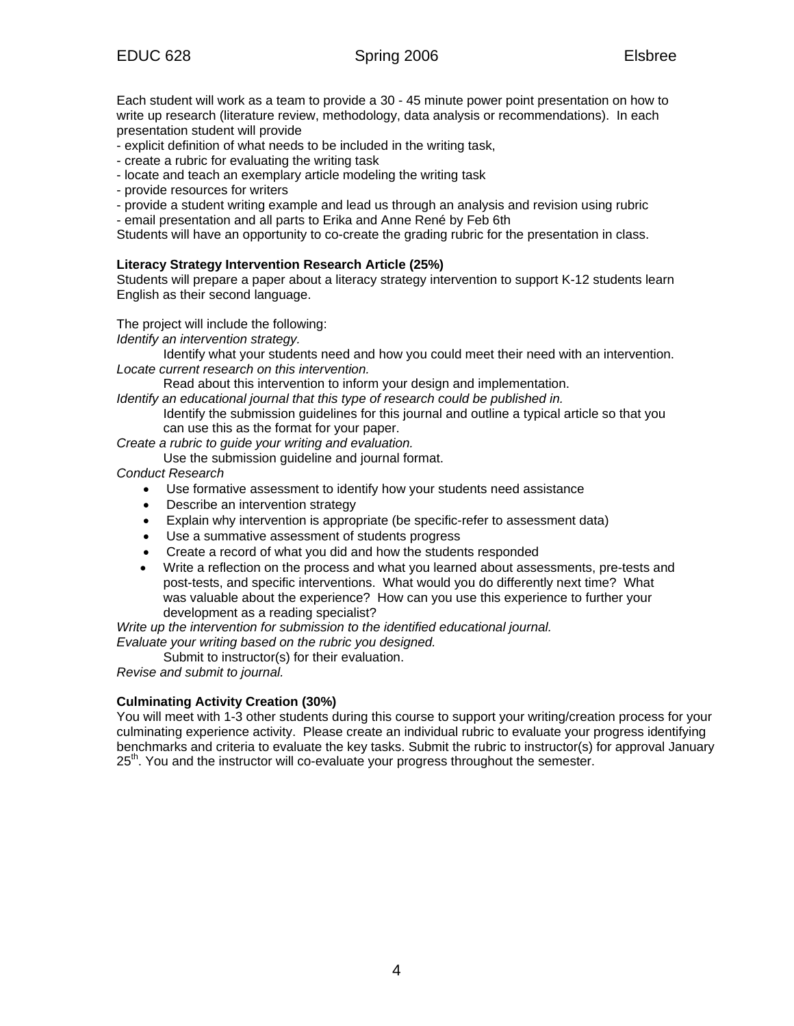Each student will work as a team to provide a 30 - 45 minute power point presentation on how to write up research (literature review, methodology, data analysis or recommendations). In each presentation student will provide

- explicit definition of what needs to be included in the writing task,
- create a rubric for evaluating the writing task
- locate and teach an exemplary article modeling the writing task
- provide resources for writers
- provide a student writing example and lead us through an analysis and revision using rubric
- email presentation and all parts to Erika and Anne René by Feb 6th

Students will have an opportunity to co-create the grading rubric for the presentation in class.

# **Literacy Strategy Intervention Research Article (25%)**

Students will prepare a paper about a literacy strategy intervention to support K-12 students learn English as their second language.

The project will include the following:

*Identify an intervention strategy.* 

Identify what your students need and how you could meet their need with an intervention. *Locate current research on this intervention.* 

Read about this intervention to inform your design and implementation.

- *Identify an educational journal that this type of research could be published in.* Identify the submission guidelines for this journal and outline a typical article so that you
	- can use this as the format for your paper.

*Create a rubric to guide your writing and evaluation.* 

Use the submission guideline and journal format.

*Conduct Research*

- Use formative assessment to identify how your students need assistance
- Describe an intervention strategy
- Explain why intervention is appropriate (be specific-refer to assessment data)
- Use a summative assessment of students progress
- Create a record of what you did and how the students responded
- Write a reflection on the process and what you learned about assessments, pre-tests and post-tests, and specific interventions. What would you do differently next time? What was valuable about the experience? How can you use this experience to further your development as a reading specialist?

*Write up the intervention for submission to the identified educational journal.* 

*Evaluate your writing based on the rubric you designed.* 

Submit to instructor(s) for their evaluation.

*Revise and submit to journal.* 

# **Culminating Activity Creation (30%)**

You will meet with 1-3 other students during this course to support your writing/creation process for your culminating experience activity. Please create an individual rubric to evaluate your progress identifying benchmarks and criteria to evaluate the key tasks. Submit the rubric to instructor(s) for approval January  $25<sup>th</sup>$ . You and the instructor will co-evaluate your progress throughout the semester.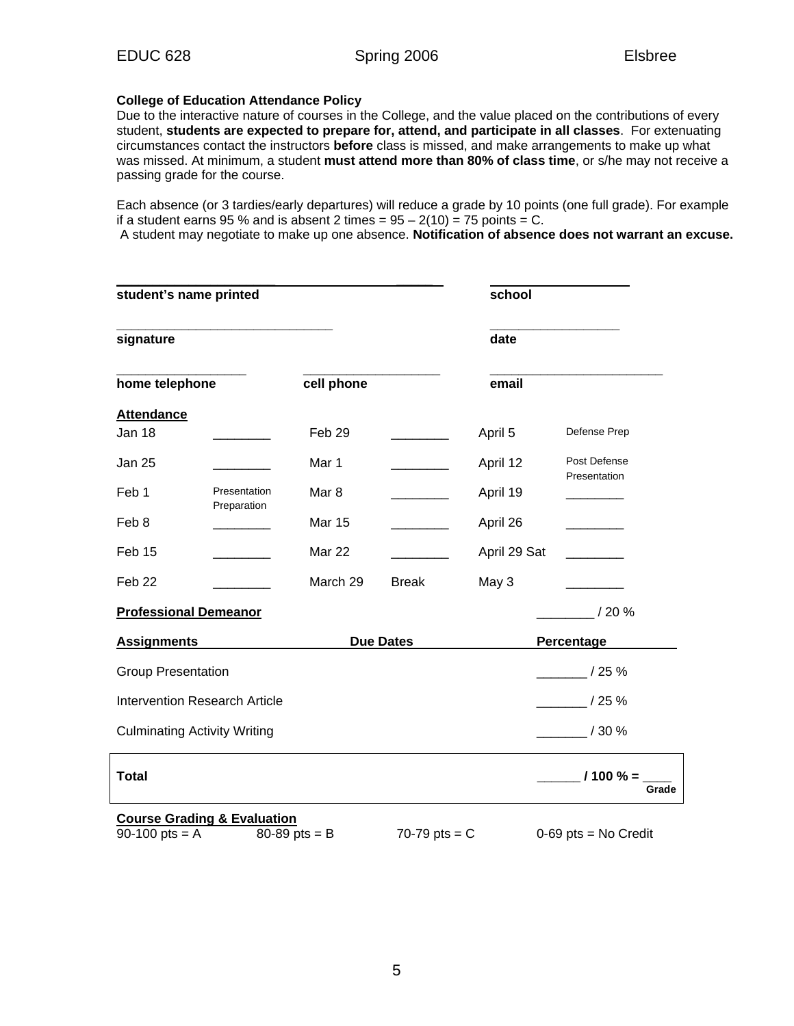## **College of Education Attendance Policy**

Due to the interactive nature of courses in the College, and the value placed on the contributions of every student, **students are expected to prepare for, attend, and participate in all classes**. For extenuating circumstances contact the instructors **before** class is missed, and make arrangements to make up what was missed. At minimum, a student **must attend more than 80% of class time**, or s/he may not receive a passing grade for the course.

Each absence (or 3 tardies/early departures) will reduce a grade by 10 points (one full grade). For example if a student earns 95 % and is absent 2 times =  $95 - 2(10) = 75$  points = C.

A student may negotiate to make up one absence. **Notification of absence does not warrant an excuse.** 

| student's name printed               |                                        |                   |                 | school       |                        |  |
|--------------------------------------|----------------------------------------|-------------------|-----------------|--------------|------------------------|--|
| signature                            |                                        |                   |                 | date         |                        |  |
| home telephone                       |                                        | cell phone        |                 | email        |                        |  |
| <b>Attendance</b>                    |                                        |                   |                 |              |                        |  |
| Jan 18                               |                                        | Feb <sub>29</sub> |                 | April 5      | Defense Prep           |  |
| <b>Jan 25</b>                        |                                        | Mar 1             |                 | April 12     | Post Defense           |  |
| Feb 1                                | Presentation                           | Mar 8             |                 | April 19     | Presentation           |  |
| Feb 8                                | Preparation                            | <b>Mar 15</b>     |                 | April 26     |                        |  |
| Feb 15                               |                                        | Mar 22            |                 | April 29 Sat |                        |  |
| Feb 22                               |                                        | March 29          | <b>Break</b>    | May 3        |                        |  |
| <b>Professional Demeanor</b>         |                                        |                   |                 |              | / 20 %                 |  |
| <b>Assignments</b>                   |                                        | <b>Due Dates</b>  |                 |              | Percentage             |  |
| <b>Group Presentation</b>            |                                        |                   |                 |              | /25%                   |  |
| <b>Intervention Research Article</b> |                                        |                   |                 |              | $/25 \%$               |  |
| <b>Culminating Activity Writing</b>  |                                        |                   |                 |              | / 30 %                 |  |
| <b>Total</b>                         |                                        |                   |                 |              | $1100% =$<br>Grade     |  |
|                                      | <b>Course Grading &amp; Evaluation</b> |                   |                 |              |                        |  |
| 90-100 pts = $A$                     |                                        | 80-89 pts = $B$   | 70-79 pts = $C$ |              | $0-69$ pts = No Credit |  |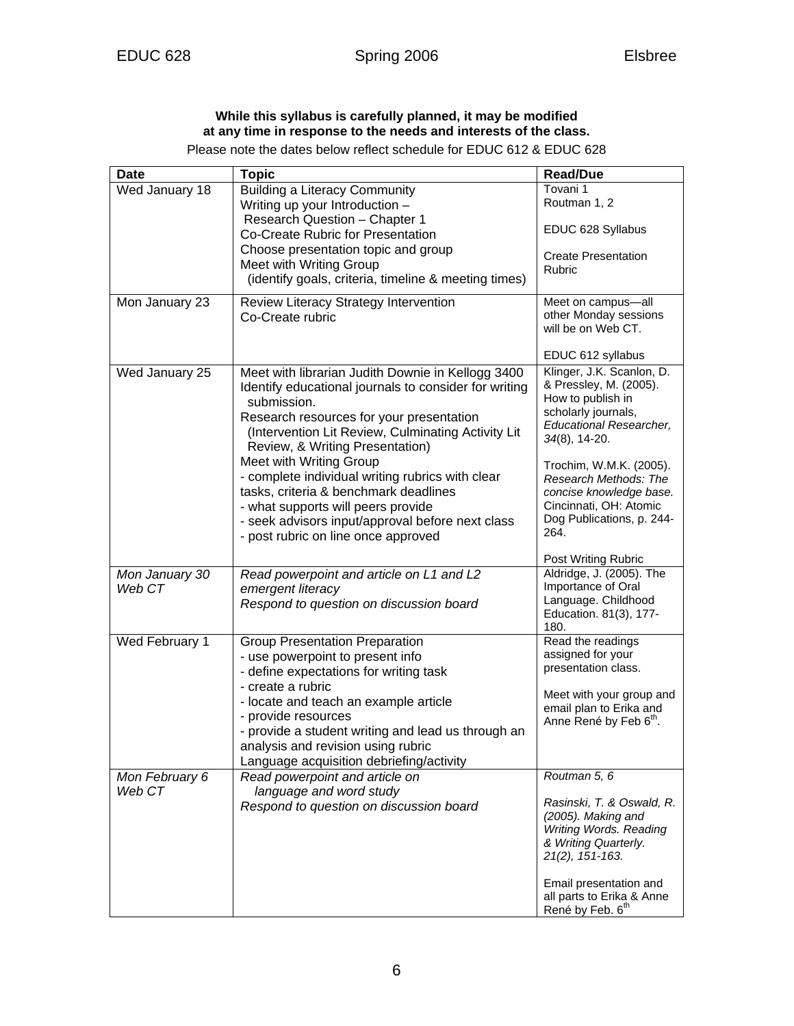# **While this syllabus is carefully planned, it may be modified at any time in response to the needs and interests of the class.**

Please note the dates below reflect schedule for EDUC 612 & EDUC 628

| <b>Date</b>              | <b>Topic</b>                                                                                                                                                                                                                                                                               | <b>Read/Due</b>                                                                                                                                       |
|--------------------------|--------------------------------------------------------------------------------------------------------------------------------------------------------------------------------------------------------------------------------------------------------------------------------------------|-------------------------------------------------------------------------------------------------------------------------------------------------------|
| Wed January 18           | <b>Building a Literacy Community</b><br>Writing up your Introduction -                                                                                                                                                                                                                     | Tovani 1<br>Routman 1, 2                                                                                                                              |
|                          | Research Question - Chapter 1<br>Co-Create Rubric for Presentation                                                                                                                                                                                                                         | EDUC 628 Syllabus                                                                                                                                     |
|                          | Choose presentation topic and group<br>Meet with Writing Group<br>(identify goals, criteria, timeline & meeting times)                                                                                                                                                                     | <b>Create Presentation</b><br><b>Rubric</b>                                                                                                           |
| Mon January 23           | Review Literacy Strategy Intervention<br>Co-Create rubric                                                                                                                                                                                                                                  | Meet on campus-all<br>other Monday sessions<br>will be on Web CT.                                                                                     |
|                          |                                                                                                                                                                                                                                                                                            | EDUC 612 syllabus                                                                                                                                     |
| Wed January 25           | Meet with librarian Judith Downie in Kellogg 3400<br>Identify educational journals to consider for writing<br>submission.<br>Research resources for your presentation<br>(Intervention Lit Review, Culminating Activity Lit)<br>Review, & Writing Presentation)<br>Meet with Writing Group | Klinger, J.K. Scanlon, D.<br>& Pressley, M. (2005).<br>How to publish in<br>scholarly journals,<br><b>Educational Researcher,</b><br>$34(8)$ , 14-20. |
|                          | - complete individual writing rubrics with clear<br>tasks, criteria & benchmark deadlines<br>- what supports will peers provide<br>- seek advisors input/approval before next class<br>- post rubric on line once approved                                                                 | Trochim, W.M.K. (2005).<br>Research Methods: The<br>concise knowledge base.<br>Cincinnati, OH: Atomic<br>Dog Publications, p. 244-<br>264.            |
|                          |                                                                                                                                                                                                                                                                                            | Post Writing Rubric<br>Aldridge, J. (2005). The                                                                                                       |
| Mon January 30<br>Web CT | Read powerpoint and article on L1 and L2<br>emergent literacy<br>Respond to question on discussion board                                                                                                                                                                                   | Importance of Oral<br>Language. Childhood<br>Education. 81(3), 177-<br>180.                                                                           |
| Wed February 1           | <b>Group Presentation Preparation</b><br>- use powerpoint to present info<br>- define expectations for writing task                                                                                                                                                                        | Read the readings<br>assigned for your<br>presentation class.                                                                                         |
|                          | - create a rubric<br>- locate and teach an example article<br>- provide resources<br>- provide a student writing and lead us through an<br>analysis and revision using rubric<br>Language acquisition debriefing/activity                                                                  | Meet with your group and<br>email plan to Erika and<br>Anne René by Feb 6 <sup>th</sup> .                                                             |
| Mon February 6           | Read powerpoint and article on                                                                                                                                                                                                                                                             | Routman 5, 6                                                                                                                                          |
| Web CT                   | language and word study<br>Respond to question on discussion board                                                                                                                                                                                                                         | Rasinski, T. & Oswald, R.<br>(2005). Making and<br>Writing Words. Reading<br>& Writing Quarterly.<br>21(2), 151-163.                                  |
|                          |                                                                                                                                                                                                                                                                                            | Email presentation and<br>all parts to Erika & Anne<br>René by Feb. 6 <sup>th</sup>                                                                   |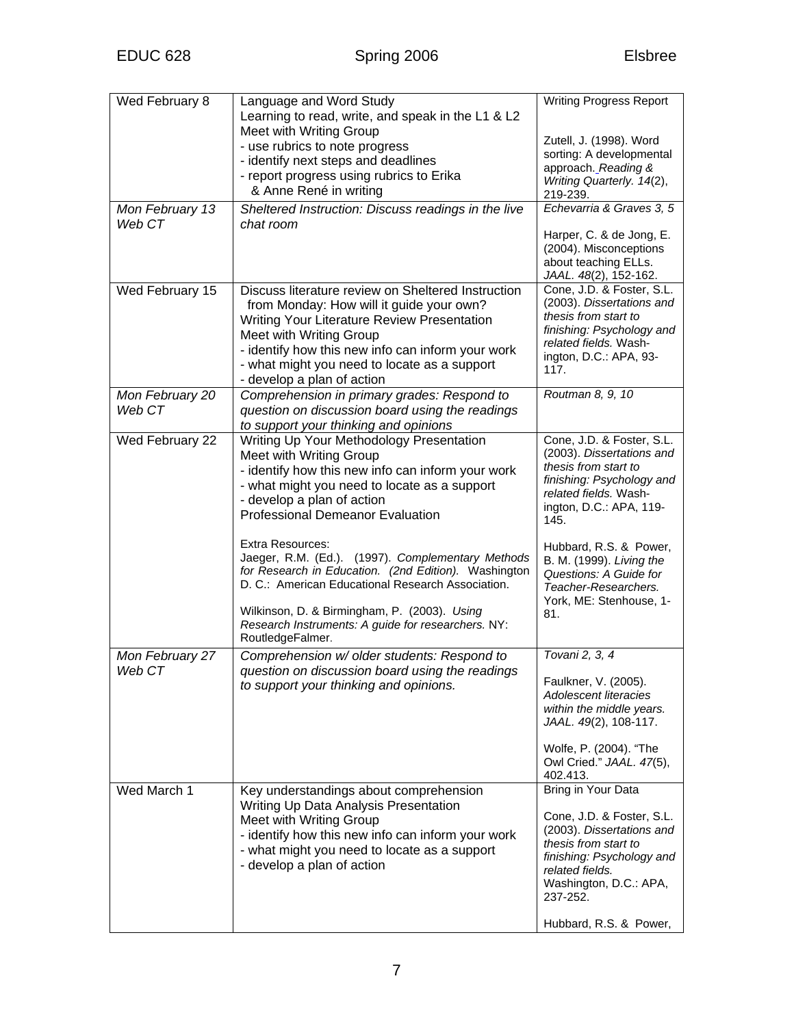| Wed February 8            | Language and Word Study<br>Learning to read, write, and speak in the L1 & L2                              | <b>Writing Progress Report</b>                                                                      |
|---------------------------|-----------------------------------------------------------------------------------------------------------|-----------------------------------------------------------------------------------------------------|
|                           | Meet with Writing Group                                                                                   | Zutell, J. (1998). Word                                                                             |
|                           | - use rubrics to note progress                                                                            | sorting: A developmental                                                                            |
|                           | - identify next steps and deadlines                                                                       | approach. Reading &                                                                                 |
|                           | - report progress using rubrics to Erika<br>& Anne René in writing                                        | Writing Quarterly. 14(2),<br>219-239.                                                               |
| Mon February 13<br>Web CT | Sheltered Instruction: Discuss readings in the live<br>chat room                                          | Echevarria & Graves 3, 5                                                                            |
|                           |                                                                                                           | Harper, C. & de Jong, E.<br>(2004). Misconceptions<br>about teaching ELLs.<br>JAAL. 48(2), 152-162. |
| Wed February 15           | Discuss literature review on Sheltered Instruction                                                        | Cone, J.D. & Foster, S.L.                                                                           |
|                           | from Monday: How will it guide your own?<br>Writing Your Literature Review Presentation                   | (2003). Dissertations and<br>thesis from start to                                                   |
|                           | Meet with Writing Group                                                                                   | finishing: Psychology and                                                                           |
|                           | - identify how this new info can inform your work                                                         | related fields. Wash-                                                                               |
|                           | - what might you need to locate as a support                                                              | ington, D.C.: APA, 93-<br>117.                                                                      |
|                           | - develop a plan of action                                                                                |                                                                                                     |
| Mon February 20           | Comprehension in primary grades: Respond to                                                               | Routman 8, 9, 10                                                                                    |
| Web CT                    | question on discussion board using the readings<br>to support your thinking and opinions                  |                                                                                                     |
| Wed February 22           | Writing Up Your Methodology Presentation                                                                  | Cone, J.D. & Foster, S.L.                                                                           |
|                           | Meet with Writing Group                                                                                   | (2003). Dissertations and<br>thesis from start to                                                   |
|                           | - identify how this new info can inform your work<br>- what might you need to locate as a support         | finishing: Psychology and                                                                           |
|                           | - develop a plan of action                                                                                | related fields. Wash-                                                                               |
|                           | <b>Professional Demeanor Evaluation</b>                                                                   | ington, D.C.: APA, 119-<br>145.                                                                     |
|                           | <b>Extra Resources:</b>                                                                                   | Hubbard, R.S. & Power,                                                                              |
|                           | Jaeger, R.M. (Ed.). (1997). Complementary Methods                                                         | B. M. (1999). Living the                                                                            |
|                           | for Research in Education. (2nd Edition). Washington<br>D. C.: American Educational Research Association. | Questions: A Guide for                                                                              |
|                           |                                                                                                           | Teacher-Researchers.<br>York, ME: Stenhouse, 1-                                                     |
|                           | Wilkinson, D. & Birmingham, P. (2003). Using                                                              | 81.                                                                                                 |
|                           | Research Instruments: A guide for researchers. NY:<br>RoutledgeFalmer.                                    |                                                                                                     |
| Mon February 27           | Comprehension w/ older students: Respond to                                                               | Tovani 2, 3, 4                                                                                      |
| Web CT                    | question on discussion board using the readings                                                           | Faulkner, V. (2005).                                                                                |
|                           | to support your thinking and opinions.                                                                    | <b>Adolescent literacies</b>                                                                        |
|                           |                                                                                                           | within the middle years.                                                                            |
|                           |                                                                                                           | JAAL. 49(2), 108-117.                                                                               |
|                           |                                                                                                           | Wolfe, P. (2004). "The                                                                              |
|                           |                                                                                                           | Owl Cried." JAAL. 47(5),                                                                            |
| Wed March 1               | Key understandings about comprehension                                                                    | 402.413.<br>Bring in Your Data                                                                      |
|                           | Writing Up Data Analysis Presentation                                                                     |                                                                                                     |
|                           | Meet with Writing Group                                                                                   | Cone, J.D. & Foster, S.L.<br>(2003). Dissertations and                                              |
|                           | - identify how this new info can inform your work                                                         | thesis from start to                                                                                |
|                           | - what might you need to locate as a support<br>- develop a plan of action                                | finishing: Psychology and                                                                           |
|                           |                                                                                                           | related fields.<br>Washington, D.C.: APA,                                                           |
|                           |                                                                                                           | 237-252.                                                                                            |
|                           |                                                                                                           | Hubbard, R.S. & Power,                                                                              |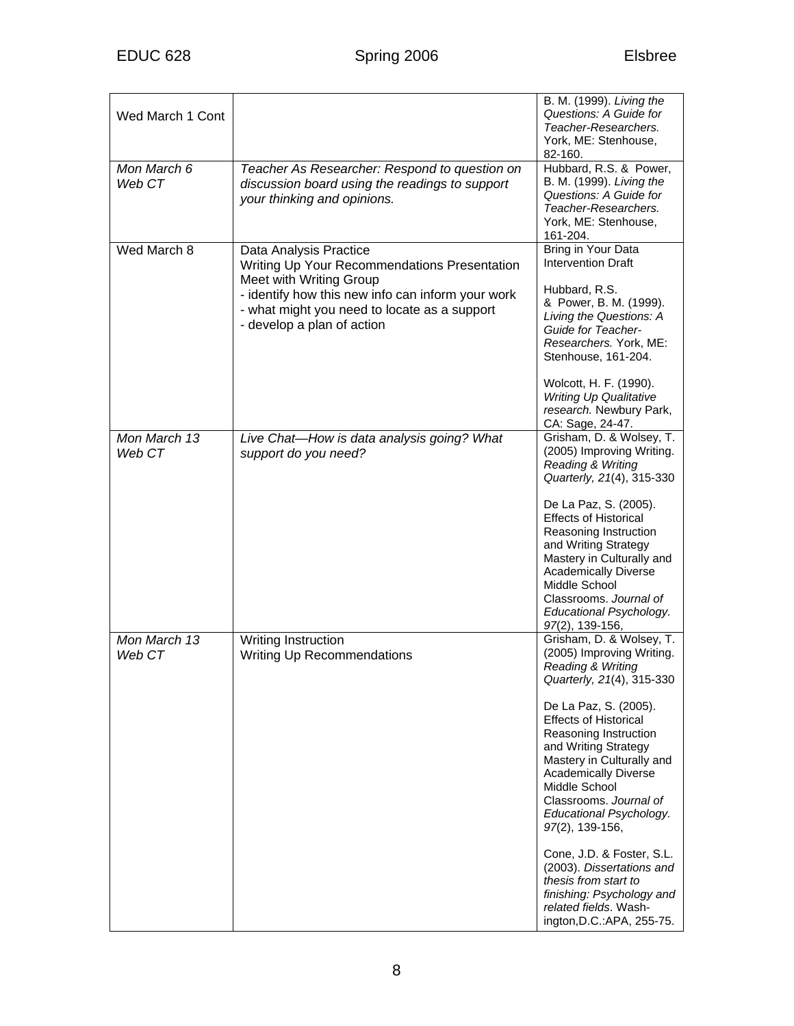| Wed March 1 Cont       |                                                                                                                                                                                                                                      | B. M. (1999). Living the<br>Questions: A Guide for<br>Teacher-Researchers.<br>York, ME: Stenhouse,<br>82-160.                                                                                                                                                                                                                                                                                                                                                                                                                                           |
|------------------------|--------------------------------------------------------------------------------------------------------------------------------------------------------------------------------------------------------------------------------------|---------------------------------------------------------------------------------------------------------------------------------------------------------------------------------------------------------------------------------------------------------------------------------------------------------------------------------------------------------------------------------------------------------------------------------------------------------------------------------------------------------------------------------------------------------|
| Mon March 6<br>Web CT  | Teacher As Researcher: Respond to question on<br>discussion board using the readings to support<br>your thinking and opinions.                                                                                                       | Hubbard, R.S. & Power,<br>B. M. (1999). Living the<br>Questions: A Guide for<br>Teacher-Researchers.<br>York, ME: Stenhouse,<br>161-204.                                                                                                                                                                                                                                                                                                                                                                                                                |
| Wed March 8            | Data Analysis Practice<br>Writing Up Your Recommendations Presentation<br>Meet with Writing Group<br>- identify how this new info can inform your work<br>- what might you need to locate as a support<br>- develop a plan of action | Bring in Your Data<br><b>Intervention Draft</b><br>Hubbard, R.S.<br>& Power, B. M. (1999).<br>Living the Questions: A<br>Guide for Teacher-<br>Researchers. York, ME:<br>Stenhouse, 161-204.<br>Wolcott, H. F. (1990).<br><b>Writing Up Qualitative</b><br>research. Newbury Park,<br>CA: Sage, 24-47.                                                                                                                                                                                                                                                  |
| Mon March 13<br>Web CT | Live Chat-How is data analysis going? What<br>support do you need?                                                                                                                                                                   | Grisham, D. & Wolsey, T.<br>(2005) Improving Writing.<br>Reading & Writing<br>Quarterly, 21(4), 315-330<br>De La Paz, S. (2005).<br><b>Effects of Historical</b><br>Reasoning Instruction<br>and Writing Strategy<br>Mastery in Culturally and<br><b>Academically Diverse</b><br>Middle School<br>Classrooms. Journal of<br>Educational Psychology.<br>97(2), 139-156,                                                                                                                                                                                  |
| Mon March 13<br>Web CT | Writing Instruction<br><b>Writing Up Recommendations</b>                                                                                                                                                                             | Grisham, D. & Wolsey, T.<br>(2005) Improving Writing.<br><b>Reading &amp; Writing</b><br>Quarterly, 21(4), 315-330<br>De La Paz, S. (2005).<br><b>Effects of Historical</b><br>Reasoning Instruction<br>and Writing Strategy<br>Mastery in Culturally and<br><b>Academically Diverse</b><br>Middle School<br>Classrooms, Journal of<br>Educational Psychology.<br>97(2), 139-156,<br>Cone, J.D. & Foster, S.L.<br>(2003). Dissertations and<br>thesis from start to<br>finishing: Psychology and<br>related fields. Wash-<br>ington, D.C.: APA, 255-75. |